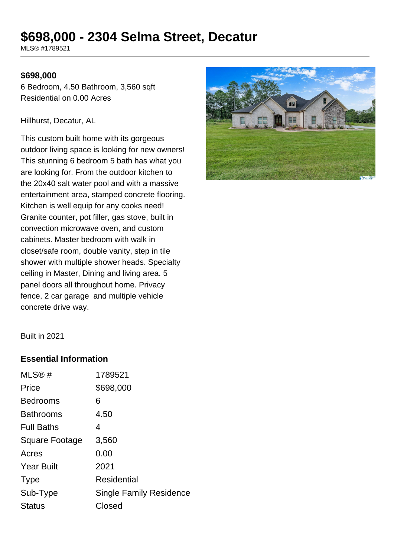# **\$698,000 - 2304 Selma Street, Decatur**

MLS® #1789521

#### **\$698,000**

6 Bedroom, 4.50 Bathroom, 3,560 sqft Residential on 0.00 Acres

Hillhurst, Decatur, AL

This custom built home with its gorgeous outdoor living space is looking for new owners! This stunning 6 bedroom 5 bath has what you are looking for. From the outdoor kitchen to the 20x40 salt water pool and with a massive entertainment area, stamped concrete flooring. Kitchen is well equip for any cooks need! Granite counter, pot filler, gas stove, built in convection microwave oven, and custom cabinets. Master bedroom with walk in closet/safe room, double vanity, step in tile shower with multiple shower heads. Specialty ceiling in Master, Dining and living area. 5 panel doors all throughout home. Privacy fence, 2 car garage and multiple vehicle concrete drive way.



Built in 2021

#### **Essential Information**

| MLS@#             | 1789521                 |
|-------------------|-------------------------|
| Price             | \$698,000               |
| <b>Bedrooms</b>   | 6                       |
| <b>Bathrooms</b>  | 4.50                    |
| <b>Full Baths</b> | 4                       |
| Square Footage    | 3,560                   |
| Acres             | 0.00                    |
| <b>Year Built</b> | 2021                    |
| <b>Type</b>       | Residential             |
| Sub-Type          | Single Family Residence |
| <b>Status</b>     | Closed                  |